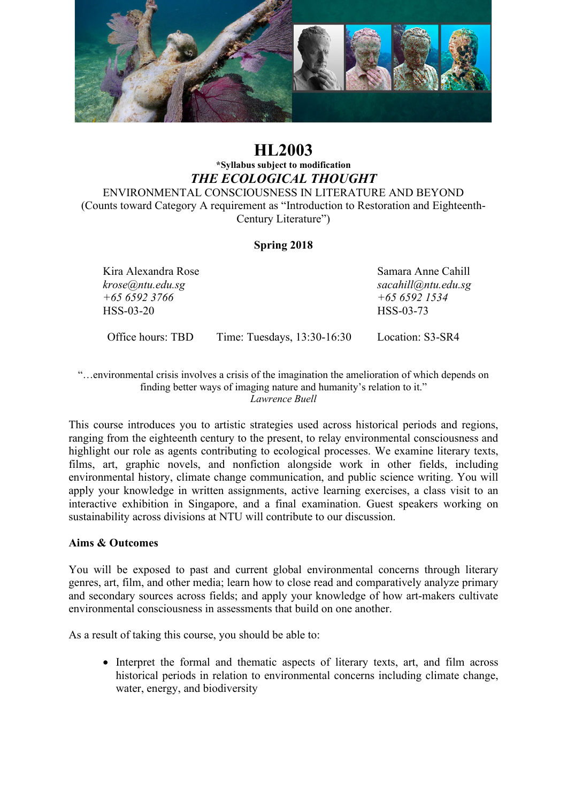

# **HL2003 \*Syllabus subject to modification** *THE ECOLOGICAL THOUGHT*

ENVIRONMENTAL CONSCIOUSNESS IN LITERATURE AND BEYOND (Counts toward Category A requirement as "Introduction to Restoration and Eighteenth-Century Literature")

### **Spring 2018**

Kira Alexandra Rose Samara Anne Cahill *krose@ntu.edu.sg sacahill@ntu.edu.sg +65 6592 3766 +65 6592 1534* HSS-03-20 HSS-03-73

Office hours: TBD Time: Tuesdays, 13:30-16:30 Location: S3-SR4

"…environmental crisis involves a crisis of the imagination the amelioration of which depends on finding better ways of imaging nature and humanity's relation to it." *Lawrence Buell*

This course introduces you to artistic strategies used across historical periods and regions, ranging from the eighteenth century to the present, to relay environmental consciousness and highlight our role as agents contributing to ecological processes. We examine literary texts, films, art, graphic novels, and nonfiction alongside work in other fields, including environmental history, climate change communication, and public science writing. You will apply your knowledge in written assignments, active learning exercises, a class visit to an interactive exhibition in Singapore, and a final examination. Guest speakers working on sustainability across divisions at NTU will contribute to our discussion.

#### **Aims & Outcomes**

You will be exposed to past and current global environmental concerns through literary genres, art, film, and other media; learn how to close read and comparatively analyze primary and secondary sources across fields; and apply your knowledge of how art-makers cultivate environmental consciousness in assessments that build on one another.

As a result of taking this course, you should be able to:

• Interpret the formal and thematic aspects of literary texts, art, and film across historical periods in relation to environmental concerns including climate change, water, energy, and biodiversity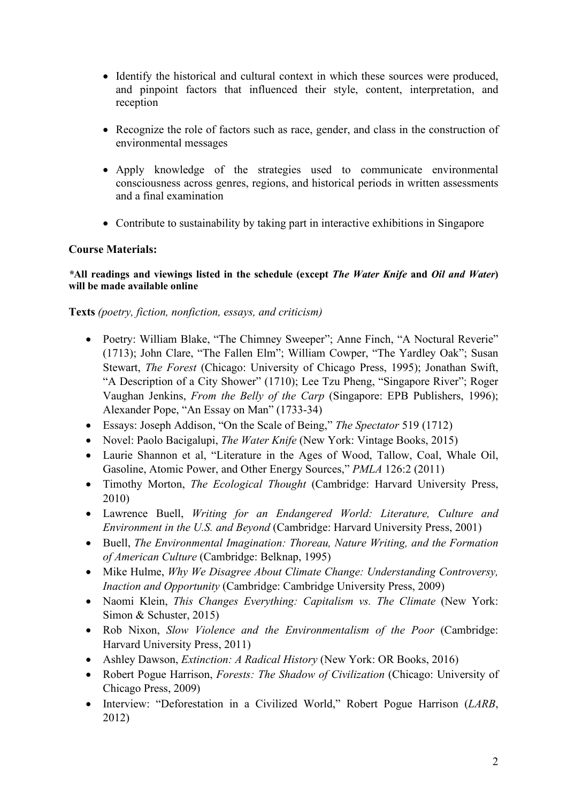- Identify the historical and cultural context in which these sources were produced, and pinpoint factors that influenced their style, content, interpretation, and reception
- Recognize the role of factors such as race, gender, and class in the construction of environmental messages
- Apply knowledge of the strategies used to communicate environmental consciousness across genres, regions, and historical periods in written assessments and a final examination
- Contribute to sustainability by taking part in interactive exhibitions in Singapore

# **Course Materials:**

#### *\****All readings and viewings listed in the schedule (except** *The Water Knife* **and** *Oil and Water***) will be made available online**

**Texts** *(poetry, fiction, nonfiction, essays, and criticism)*

- Poetry: William Blake, "The Chimney Sweeper"; Anne Finch, "A Noctural Reverie" (1713); John Clare, "The Fallen Elm"; William Cowper, "The Yardley Oak"; Susan Stewart, *The Forest* (Chicago: University of Chicago Press, 1995); Jonathan Swift, "A Description of a City Shower" (1710); Lee Tzu Pheng, "Singapore River"; Roger Vaughan Jenkins, *From the Belly of the Carp* (Singapore: EPB Publishers, 1996); Alexander Pope, "An Essay on Man" (1733-34)
- Essays: Joseph Addison, "On the Scale of Being," *The Spectator* 519 (1712)
- Novel: Paolo Bacigalupi, *The Water Knife* (New York: Vintage Books, 2015)
- Laurie Shannon et al, "Literature in the Ages of Wood, Tallow, Coal, Whale Oil, Gasoline, Atomic Power, and Other Energy Sources," *PMLA* 126:2 (2011)
- Timothy Morton, *The Ecological Thought* (Cambridge: Harvard University Press, 2010)
- Lawrence Buell, *Writing for an Endangered World: Literature, Culture and Environment in the U.S. and Beyond* (Cambridge: Harvard University Press, 2001)
- Buell, *The Environmental Imagination: Thoreau, Nature Writing, and the Formation of American Culture* (Cambridge: Belknap, 1995)
- Mike Hulme, *Why We Disagree About Climate Change: Understanding Controversy, Inaction and Opportunity* (Cambridge: Cambridge University Press, 2009)
- Naomi Klein, *This Changes Everything: Capitalism vs. The Climate* (New York: Simon & Schuster, 2015)
- Rob Nixon, *Slow Violence and the Environmentalism of the Poor* (Cambridge: Harvard University Press, 2011)
- Ashley Dawson, *Extinction: A Radical History* (New York: OR Books, 2016)
- Robert Pogue Harrison, *Forests: The Shadow of Civilization* (Chicago: University of Chicago Press, 2009)
- Interview: "Deforestation in a Civilized World," Robert Pogue Harrison (*LARB*, 2012)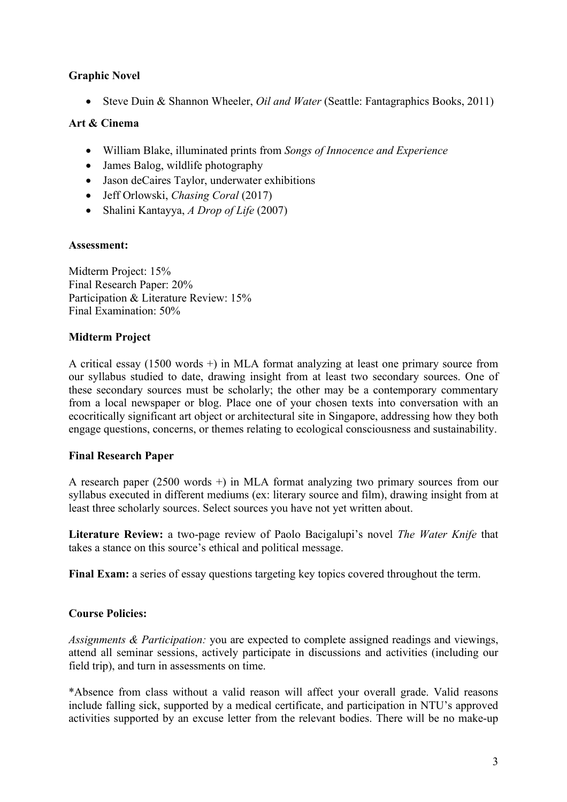# **Graphic Novel**

• Steve Duin & Shannon Wheeler, *Oil and Water* (Seattle: Fantagraphics Books, 2011)

## **Art & Cinema**

- William Blake, illuminated prints from *Songs of Innocence and Experience*
- James Balog, wildlife photography
- Jason deCaires Taylor, underwater exhibitions
- Jeff Orlowski, *Chasing Coral* (2017)
- Shalini Kantayya, *A Drop of Life* (2007)

### **Assessment:**

Midterm Project: 15% Final Research Paper: 20% Participation & Literature Review: 15% Final Examination: 50%

# **Midterm Project**

A critical essay (1500 words +) in MLA format analyzing at least one primary source from our syllabus studied to date, drawing insight from at least two secondary sources. One of these secondary sources must be scholarly; the other may be a contemporary commentary from a local newspaper or blog. Place one of your chosen texts into conversation with an ecocritically significant art object or architectural site in Singapore, addressing how they both engage questions, concerns, or themes relating to ecological consciousness and sustainability.

# **Final Research Paper**

A research paper (2500 words +) in MLA format analyzing two primary sources from our syllabus executed in different mediums (ex: literary source and film), drawing insight from at least three scholarly sources. Select sources you have not yet written about.

**Literature Review:** a two-page review of Paolo Bacigalupi's novel *The Water Knife* that takes a stance on this source's ethical and political message.

**Final Exam:** a series of essay questions targeting key topics covered throughout the term.

### **Course Policies:**

*Assignments & Participation:* you are expected to complete assigned readings and viewings, attend all seminar sessions, actively participate in discussions and activities (including our field trip), and turn in assessments on time.

\*Absence from class without a valid reason will affect your overall grade. Valid reasons include falling sick, supported by a medical certificate, and participation in NTU's approved activities supported by an excuse letter from the relevant bodies. There will be no make-up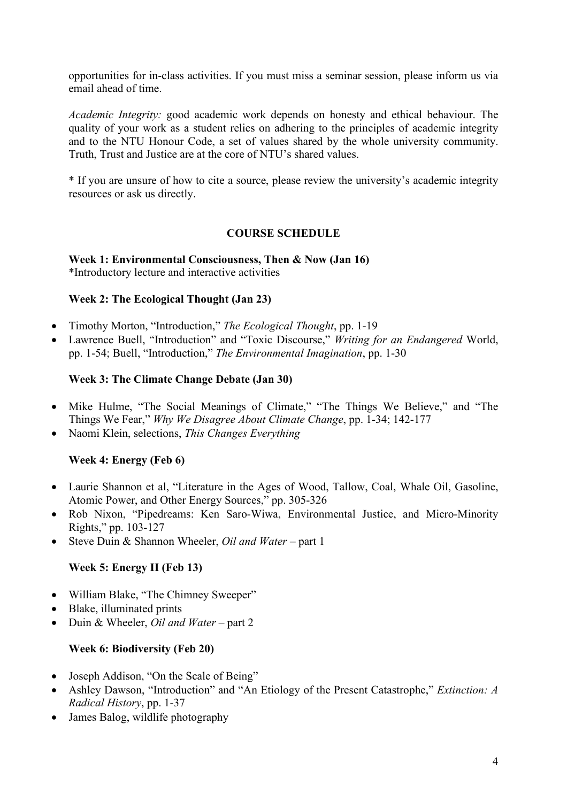opportunities for in-class activities. If you must miss a seminar session, please inform us via email ahead of time.

*Academic Integrity:* good academic work depends on honesty and ethical behaviour. The quality of your work as a student relies on adhering to the principles of academic integrity and to the NTU Honour Code, a set of values shared by the whole university community. Truth, Trust and Justice are at the core of NTU's shared values.

\* If you are unsure of how to cite a source, please review the university's academic integrity resources or ask us directly.

#### **COURSE SCHEDULE**

**Week 1: Environmental Consciousness, Then & Now (Jan 16)** \*Introductory lecture and interactive activities

#### **Week 2: The Ecological Thought (Jan 23)**

- Timothy Morton, "Introduction," *The Ecological Thought*, pp. 1-19
- Lawrence Buell, "Introduction" and "Toxic Discourse," *Writing for an Endangered* World, pp. 1-54; Buell, "Introduction," *The Environmental Imagination*, pp. 1-30

#### **Week 3: The Climate Change Debate (Jan 30)**

- Mike Hulme, "The Social Meanings of Climate," "The Things We Believe," and "The Things We Fear," *Why We Disagree About Climate Change*, pp. 1-34; 142-177
- Naomi Klein, selections, *This Changes Everything*

#### **Week 4: Energy (Feb 6)**

- Laurie Shannon et al, "Literature in the Ages of Wood, Tallow, Coal, Whale Oil, Gasoline, Atomic Power, and Other Energy Sources," pp. 305-326
- Rob Nixon, "Pipedreams: Ken Saro-Wiwa, Environmental Justice, and Micro-Minority Rights," pp. 103-127
- Steve Duin & Shannon Wheeler, *Oil and Water* part 1

#### **Week 5: Energy II (Feb 13)**

- William Blake, "The Chimney Sweeper"
- Blake, illuminated prints
- Duin & Wheeler, *Oil and Water* part 2

#### **Week 6: Biodiversity (Feb 20)**

- Joseph Addison, "On the Scale of Being"
- Ashley Dawson, "Introduction" and "An Etiology of the Present Catastrophe," *Extinction: A Radical History*, pp. 1-37
- James Balog, wildlife photography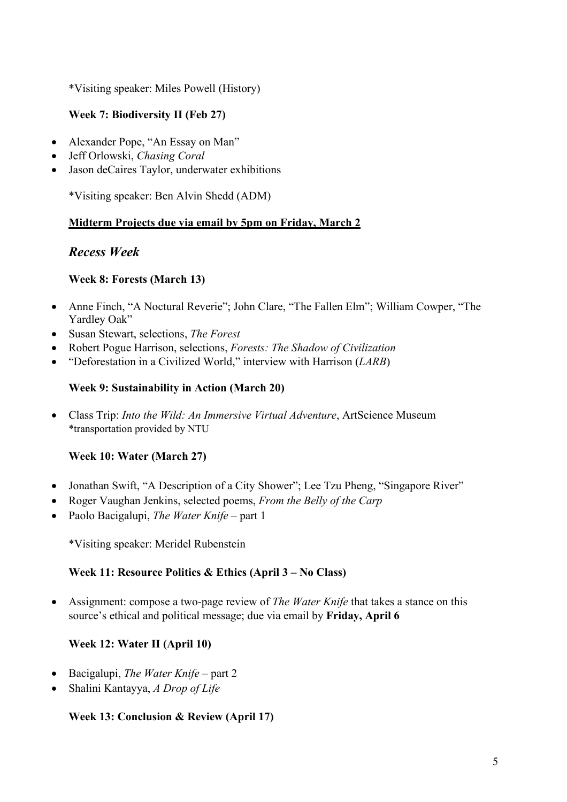\*Visiting speaker: Miles Powell (History)

# **Week 7: Biodiversity II (Feb 27)**

- Alexander Pope, "An Essay on Man"
- Jeff Orlowski, *Chasing Coral*
- Jason deCaires Taylor, underwater exhibitions

\*Visiting speaker: Ben Alvin Shedd (ADM)

# **Midterm Projects due via email by 5pm on Friday, March 2**

# *Recess Week*

# **Week 8: Forests (March 13)**

- Anne Finch, "A Noctural Reverie"; John Clare, "The Fallen Elm"; William Cowper, "The Yardley Oak"
- Susan Stewart, selections, *The Forest*
- Robert Pogue Harrison, selections, *Forests: The Shadow of Civilization*
- "Deforestation in a Civilized World," interview with Harrison (*LARB*)

# **Week 9: Sustainability in Action (March 20)**

• Class Trip: *Into the Wild: An Immersive Virtual Adventure*, ArtScience Museum \*transportation provided by NTU

# **Week 10: Water (March 27)**

- Jonathan Swift, "A Description of a City Shower"; Lee Tzu Pheng, "Singapore River"
- Roger Vaughan Jenkins, selected poems, *From the Belly of the Carp*
- Paolo Bacigalupi, *The Water Knife* part 1

\*Visiting speaker: Meridel Rubenstein

### **Week 11: Resource Politics & Ethics (April 3 – No Class)**

• Assignment: compose a two-page review of *The Water Knife* that takes a stance on this source's ethical and political message; due via email by **Friday, April 6**

# **Week 12: Water II (April 10)**

- Bacigalupi, *The Water Knife* part 2
- Shalini Kantayya, *A Drop of Life*

### **Week 13: Conclusion & Review (April 17)**